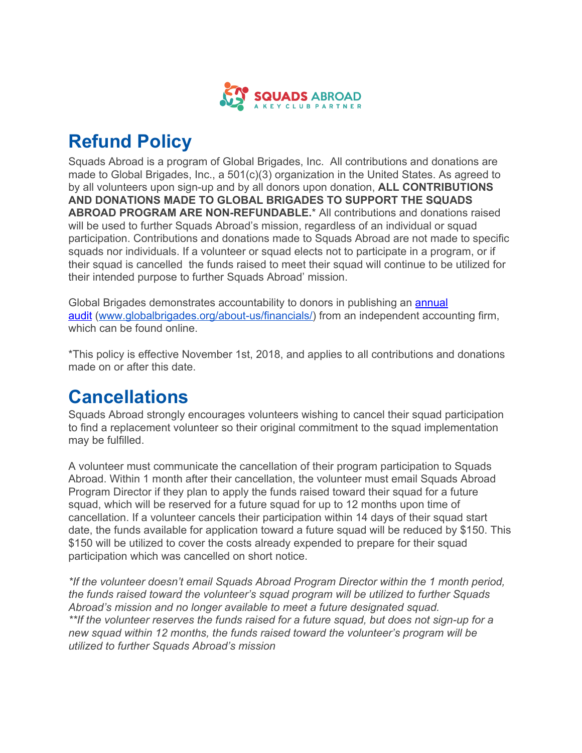

# **Refund Policy**

Squads Abroad is a program of Global Brigades, Inc. All contributions and donations are made to Global Brigades, Inc., a 501(c)(3) organization in the United States. As agreed to by all volunteers upon sign-up and by all donors upon donation, **ALL CONTRIBUTIONS AND DONATIONS MADE TO GLOBAL BRIGADES TO SUPPORT THE SQUADS ABROAD PROGRAM ARE NON-REFUNDABLE.**\* All contributions and donations raised will be used to further Squads Abroad's mission, regardless of an individual or squad participation. Contributions and donations made to Squads Abroad are not made to specific squads nor individuals. If a volunteer or squad elects not to participate in a program, or if their squad is cancelled the funds raised to meet their squad will continue to be utilized for their intended purpose to further Squads Abroad' mission.

Global Brigades demonstrates accountability to donors in publishing an [annual](https://www.globalbrigades.org/about-us/financials/) [audit](https://www.globalbrigades.org/about-us/financials/) ([www.globalbrigades.org/about-us/financials/\)](http://www.globalbrigades.org/about-us/financials/) from an independent accounting firm, which can be found online.

\*This policy is effective November 1st, 2018, and applies to all contributions and donations made on or after this date.

## **Cancellations**

Squads Abroad strongly encourages volunteers wishing to cancel their squad participation to find a replacement volunteer so their original commitment to the squad implementation may be fulfilled.

A volunteer must communicate the cancellation of their program participation to Squads Abroad. Within 1 month after their cancellation, the volunteer must email Squads Abroad Program Director if they plan to apply the funds raised toward their squad for a future squad, which will be reserved for a future squad for up to 12 months upon time of cancellation. If a volunteer cancels their participation within 14 days of their squad start date, the funds available for application toward a future squad will be reduced by \$150. This \$150 will be utilized to cover the costs already expended to prepare for their squad participation which was cancelled on short notice.

*\*If the volunteer doesn't email Squads Abroad Program Director within the 1 month period, the funds raised toward the volunteer's squad program will be utilized to further Squads Abroad's mission and no longer available to meet a future designated squad. \*\*If the volunteer reserves the funds raised for a future squad, but does not sign-up for a new squad within 12 months, the funds raised toward the volunteer's program will be utilized to further Squads Abroad's mission*